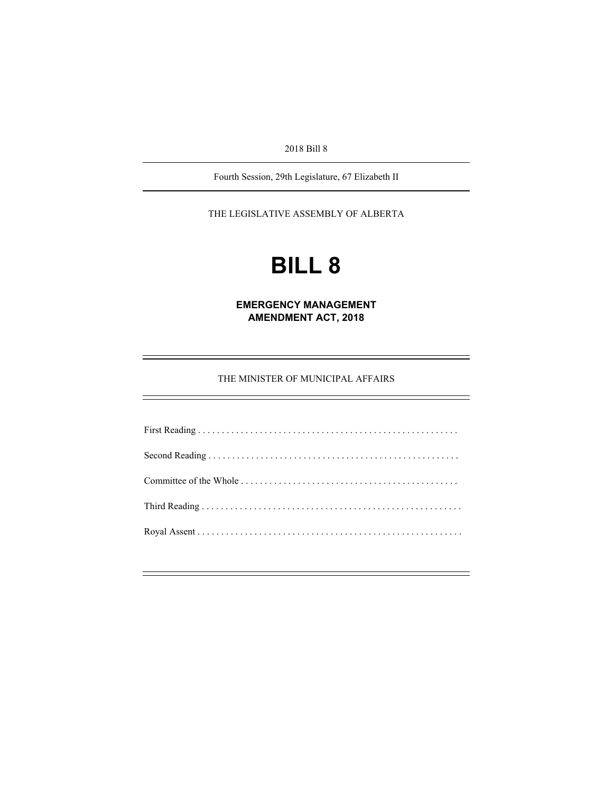2018 Bill 8

Fourth Session, 29th Legislature, 67 Elizabeth II

THE LEGISLATIVE ASSEMBLY OF ALBERTA

# **BILL 8**

**EMERGENCY MANAGEMENT AMENDMENT ACT, 2018** 

THE MINISTER OF MUNICIPAL AFFAIRS

First Reading . . . . . . . . . . . . . . . . . . . . . . . . . . . . . . . . . . . . . . . . . . . . . . . . . . . . . . . Second Reading . . . . . . . . . . . . . . . . . . . . . . . . . . . . . . . . . . . . . . . . . . . . . . . . . . . . . Committee of the Whole . . . . . . . . . . . . . . . . . . . . . . . . . . . . . . . . . . . . . . . . . . . . . . Third Reading . . . . . . . . . . . . . . . . . . . . . . . . . . . . . . . . . . . . . . . . . . . . . . . . . . . . . . . Royal Assent . . . . . . . . . . . . . . . . . . . . . . . . . . . . . . . . . . . . . . . . . . . . . . . . . . . . . . . .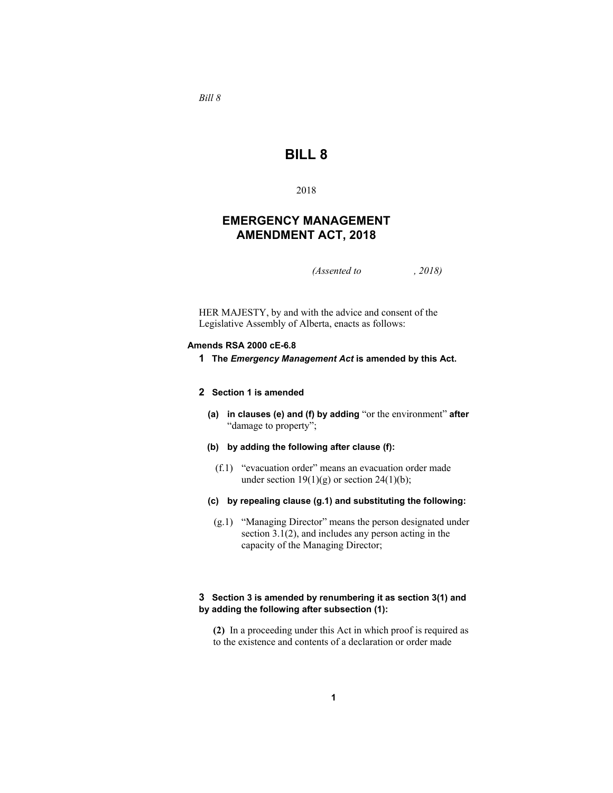*Bill 8* 

# **BILL 8**

2018

## **EMERGENCY MANAGEMENT AMENDMENT ACT, 2018**

*(Assented to , 2018)* 

HER MAJESTY, by and with the advice and consent of the Legislative Assembly of Alberta, enacts as follows:

## **Amends RSA 2000 cE-6.8**

**1 The** *Emergency Management Act* **is amended by this Act.** 

## **2 Section 1 is amended**

- **(a) in clauses (e) and (f) by adding** "or the environment" **after** "damage to property";
- **(b) by adding the following after clause (f):**
	- (f.1) "evacuation order" means an evacuation order made under section  $19(1)(g)$  or section  $24(1)(b)$ ;
- **(c) by repealing clause (g.1) and substituting the following:**
- (g.1) "Managing Director" means the person designated under section 3.1(2), and includes any person acting in the capacity of the Managing Director;

## **3 Section 3 is amended by renumbering it as section 3(1) and by adding the following after subsection (1):**

**(2)** In a proceeding under this Act in which proof is required as to the existence and contents of a declaration or order made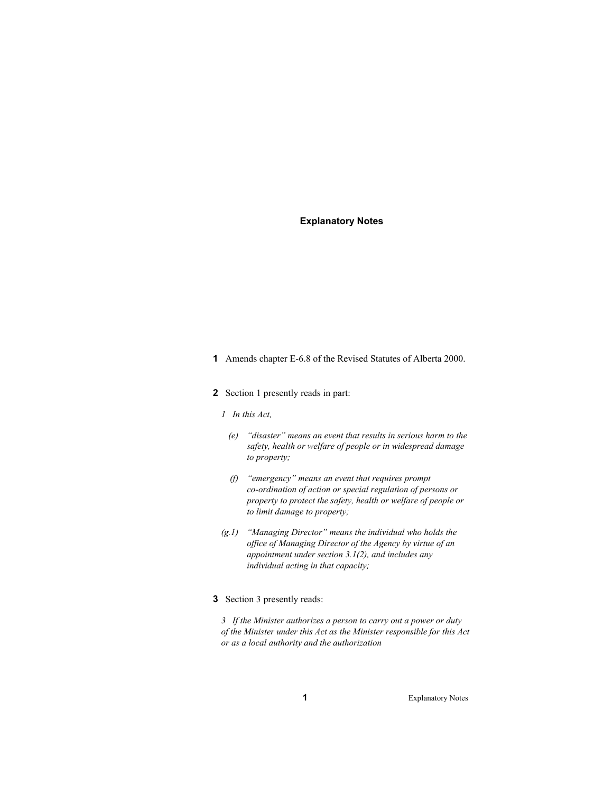## **Explanatory Notes**

- **1** Amends chapter E-6.8 of the Revised Statutes of Alberta 2000.
- **2** Section 1 presently reads in part:
	- *1 In this Act,* 
		- *(e) "disaster" means an event that results in serious harm to the safety, health or welfare of people or in widespread damage to property;*
		- *(f) "emergency" means an event that requires prompt co-ordination of action or special regulation of persons or property to protect the safety, health or welfare of people or to limit damage to property;*
	- *(g.1) "Managing Director" means the individual who holds the office of Managing Director of the Agency by virtue of an appointment under section 3.1(2), and includes any individual acting in that capacity;*
- **3** Section 3 presently reads:

*3 If the Minister authorizes a person to carry out a power or duty of the Minister under this Act as the Minister responsible for this Act or as a local authority and the authorization*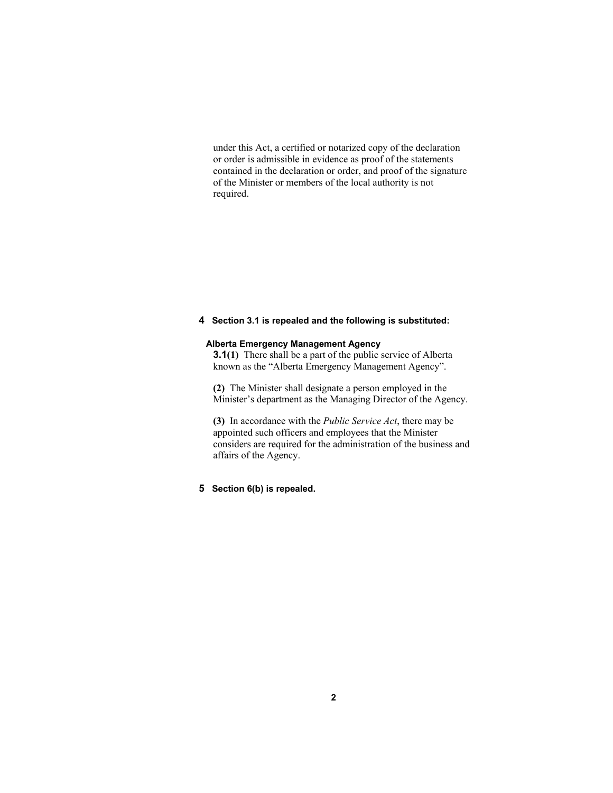under this Act, a certified or notarized copy of the declaration or order is admissible in evidence as proof of the statements contained in the declaration or order, and proof of the signature of the Minister or members of the local authority is not required.

## **4 Section 3.1 is repealed and the following is substituted:**

## **Alberta Emergency Management Agency**

**3.1(1)** There shall be a part of the public service of Alberta known as the "Alberta Emergency Management Agency".

**(2)** The Minister shall designate a person employed in the Minister's department as the Managing Director of the Agency.

**(3)** In accordance with the *Public Service Act*, there may be appointed such officers and employees that the Minister considers are required for the administration of the business and affairs of the Agency.

## **5 Section 6(b) is repealed.**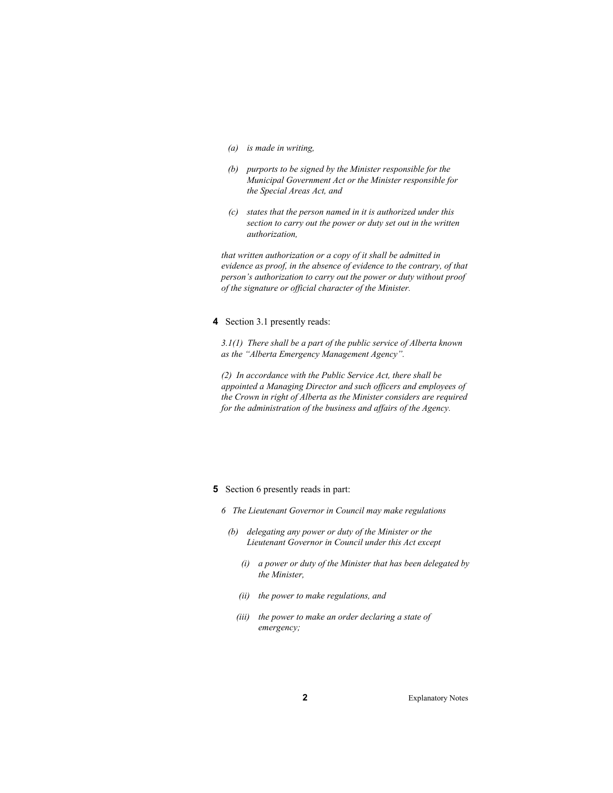- *(a) is made in writing,*
- *(b) purports to be signed by the Minister responsible for the Municipal Government Act or the Minister responsible for the Special Areas Act, and*
- *(c) states that the person named in it is authorized under this section to carry out the power or duty set out in the written authorization,*

*that written authorization or a copy of it shall be admitted in evidence as proof, in the absence of evidence to the contrary, of that person's authorization to carry out the power or duty without proof of the signature or official character of the Minister.* 

**4** Section 3.1 presently reads:

*3.1(1) There shall be a part of the public service of Alberta known as the "Alberta Emergency Management Agency".* 

*(2) In accordance with the Public Service Act, there shall be appointed a Managing Director and such officers and employees of the Crown in right of Alberta as the Minister considers are required for the administration of the business and affairs of the Agency.* 

#### **5** Section 6 presently reads in part:

- *6 The Lieutenant Governor in Council may make regulations* 
	- *(b) delegating any power or duty of the Minister or the Lieutenant Governor in Council under this Act except* 
		- *(i) a power or duty of the Minister that has been delegated by the Minister,*
		- *(ii) the power to make regulations, and*
		- *(iii) the power to make an order declaring a state of emergency;*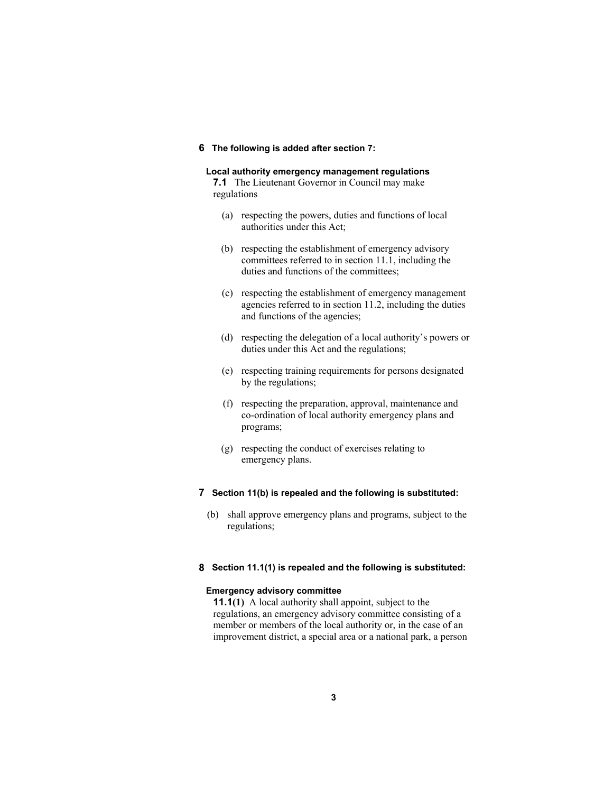## **6 The following is added after section 7:**

#### **Local authority emergency management regulations**

**7.1** The Lieutenant Governor in Council may make regulations

- (a) respecting the powers, duties and functions of local authorities under this Act;
- (b) respecting the establishment of emergency advisory committees referred to in section 11.1, including the duties and functions of the committees;
- (c) respecting the establishment of emergency management agencies referred to in section 11.2, including the duties and functions of the agencies;
- (d) respecting the delegation of a local authority's powers or duties under this Act and the regulations;
- (e) respecting training requirements for persons designated by the regulations;
- (f) respecting the preparation, approval, maintenance and co-ordination of local authority emergency plans and programs;
- (g) respecting the conduct of exercises relating to emergency plans.

## **7 Section 11(b) is repealed and the following is substituted:**

 (b) shall approve emergency plans and programs, subject to the regulations;

## **8 Section 11.1(1) is repealed and the following is substituted:**

#### **Emergency advisory committee**

**11.1(1)** A local authority shall appoint, subject to the regulations, an emergency advisory committee consisting of a member or members of the local authority or, in the case of an improvement district, a special area or a national park, a person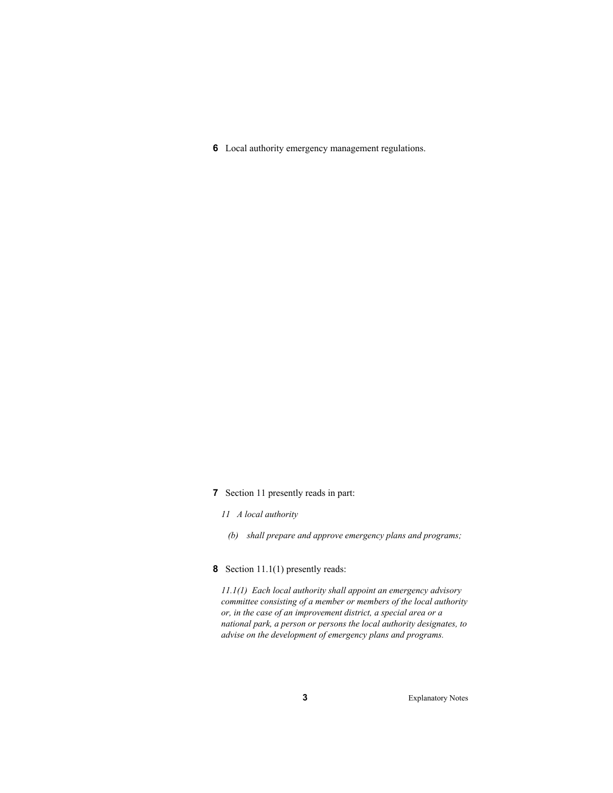**6** Local authority emergency management regulations.

- **7** Section 11 presently reads in part:
	- *11 A local authority* 
		- *(b) shall prepare and approve emergency plans and programs;*
- **8** Section 11.1(1) presently reads:

*11.1(1) Each local authority shall appoint an emergency advisory committee consisting of a member or members of the local authority or, in the case of an improvement district, a special area or a national park, a person or persons the local authority designates, to advise on the development of emergency plans and programs.*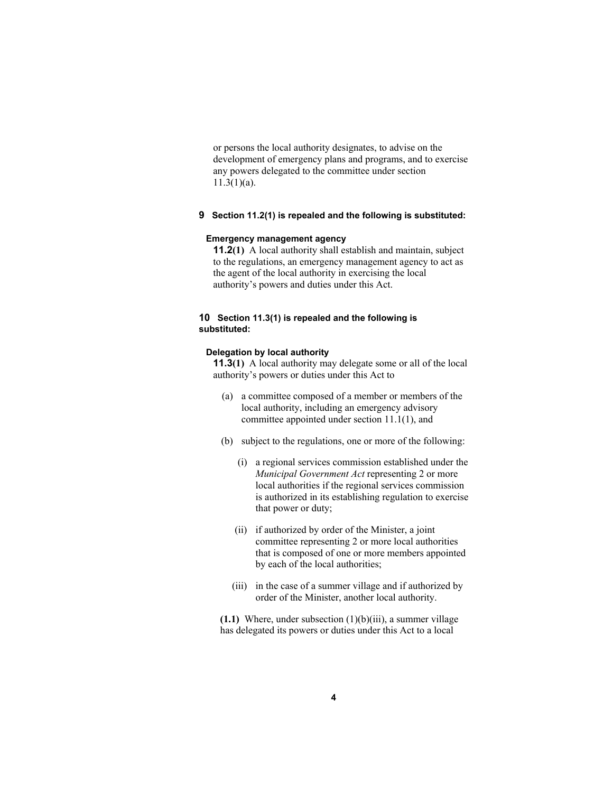or persons the local authority designates, to advise on the development of emergency plans and programs, and to exercise any powers delegated to the committee under section 11.3(1)(a).

## **9 Section 11.2(1) is repealed and the following is substituted:**

## **Emergency management agency**

**11.2(1)** A local authority shall establish and maintain, subject to the regulations, an emergency management agency to act as the agent of the local authority in exercising the local authority's powers and duties under this Act.

## **10 Section 11.3(1) is repealed and the following is substituted:**

## **Delegation by local authority**

**11.3(1)** A local authority may delegate some or all of the local authority's powers or duties under this Act to

- (a) a committee composed of a member or members of the local authority, including an emergency advisory committee appointed under section 11.1(1), and
- (b) subject to the regulations, one or more of the following:
	- (i) a regional services commission established under the *Municipal Government Act* representing 2 or more local authorities if the regional services commission is authorized in its establishing regulation to exercise that power or duty;
	- (ii) if authorized by order of the Minister, a joint committee representing 2 or more local authorities that is composed of one or more members appointed by each of the local authorities;
	- (iii) in the case of a summer village and if authorized by order of the Minister, another local authority.

**(1.1)** Where, under subsection (1)(b)(iii), a summer village has delegated its powers or duties under this Act to a local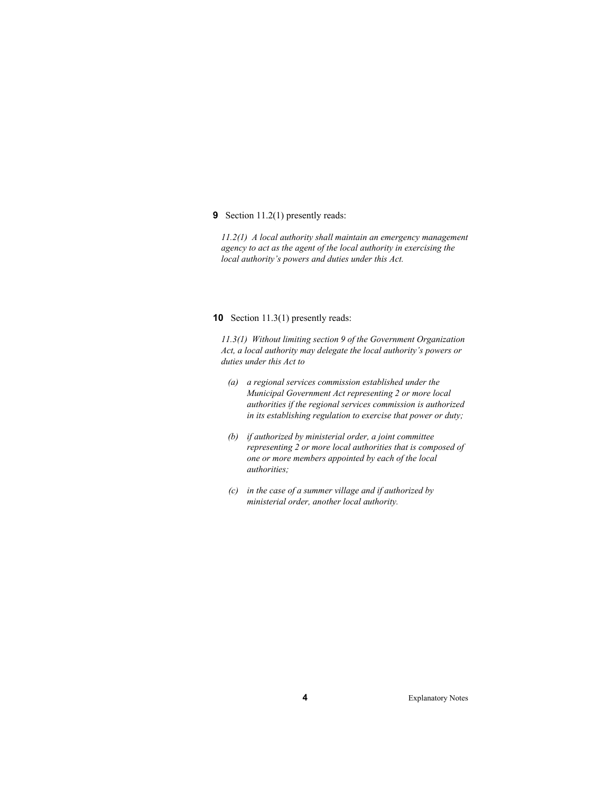**9** Section 11.2(1) presently reads:

*11.2(1) A local authority shall maintain an emergency management agency to act as the agent of the local authority in exercising the local authority's powers and duties under this Act.* 

#### **10** Section 11.3(1) presently reads:

*11.3(1) Without limiting section 9 of the Government Organization Act, a local authority may delegate the local authority's powers or duties under this Act to* 

- *(a) a regional services commission established under the Municipal Government Act representing 2 or more local authorities if the regional services commission is authorized in its establishing regulation to exercise that power or duty;*
- *(b) if authorized by ministerial order, a joint committee representing 2 or more local authorities that is composed of one or more members appointed by each of the local authorities;*
- *(c) in the case of a summer village and if authorized by ministerial order, another local authority.*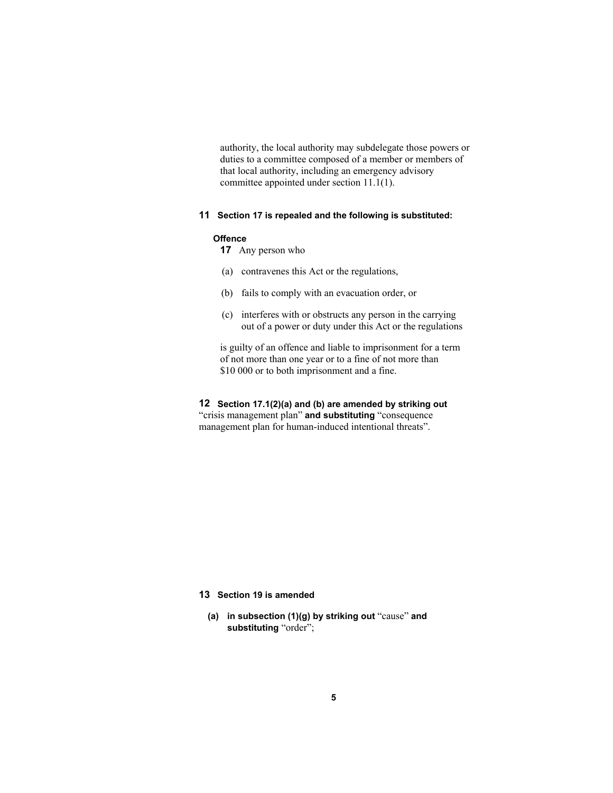authority, the local authority may subdelegate those powers or duties to a committee composed of a member or members of that local authority, including an emergency advisory committee appointed under section 11.1(1).

#### **11 Section 17 is repealed and the following is substituted:**

#### **Offence**

- **17** Any person who
- (a) contravenes this Act or the regulations,
- (b) fails to comply with an evacuation order, or
- (c) interferes with or obstructs any person in the carrying out of a power or duty under this Act or the regulations

is guilty of an offence and liable to imprisonment for a term of not more than one year or to a fine of not more than \$10 000 or to both imprisonment and a fine.

**12 Section 17.1(2)(a) and (b) are amended by striking out** "crisis management plan" **and substituting** "consequence management plan for human-induced intentional threats".

## **13 Section 19 is amended**

**(a) in subsection (1)(g) by striking out** "cause" **and substituting** "order";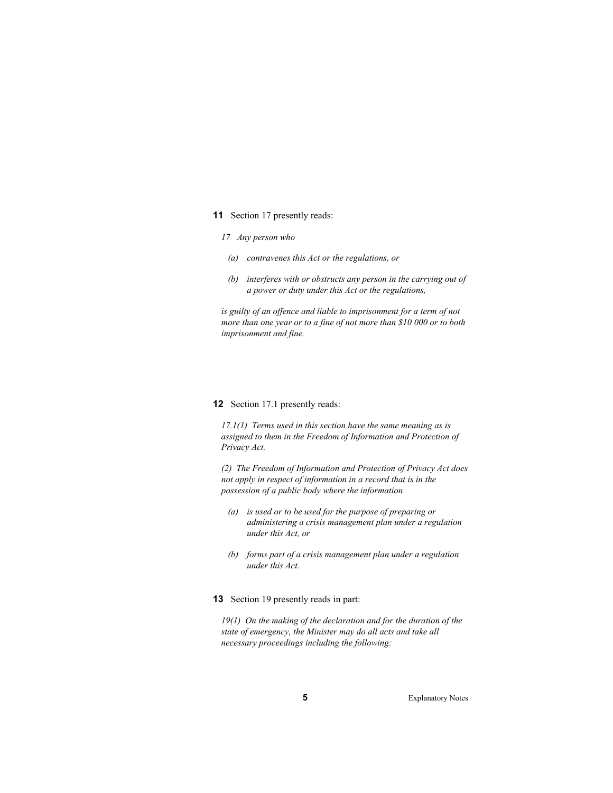#### **11** Section 17 presently reads:

#### *17 Any person who*

- *(a) contravenes this Act or the regulations, or*
- *(b) interferes with or obstructs any person in the carrying out of a power or duty under this Act or the regulations,*

*is guilty of an offence and liable to imprisonment for a term of not more than one year or to a fine of not more than \$10 000 or to both imprisonment and fine.* 

#### **12** Section 17.1 presently reads:

*17.1(1) Terms used in this section have the same meaning as is assigned to them in the Freedom of Information and Protection of Privacy Act.* 

*(2) The Freedom of Information and Protection of Privacy Act does not apply in respect of information in a record that is in the possession of a public body where the information* 

- *(a) is used or to be used for the purpose of preparing or administering a crisis management plan under a regulation under this Act, or*
- *(b) forms part of a crisis management plan under a regulation under this Act.*

#### **13** Section 19 presently reads in part:

*19(1) On the making of the declaration and for the duration of the state of emergency, the Minister may do all acts and take all necessary proceedings including the following:*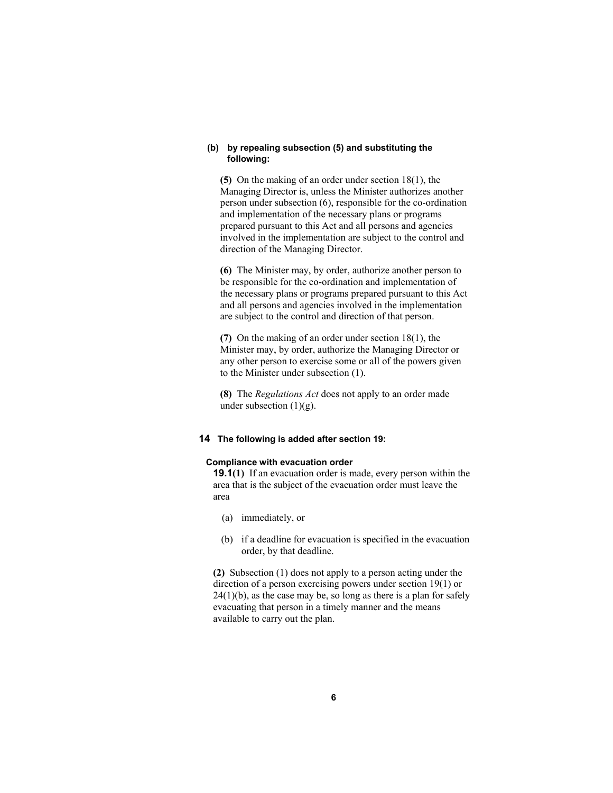#### **(b) by repealing subsection (5) and substituting the following:**

**(5)** On the making of an order under section 18(1), the Managing Director is, unless the Minister authorizes another person under subsection (6), responsible for the co-ordination and implementation of the necessary plans or programs prepared pursuant to this Act and all persons and agencies involved in the implementation are subject to the control and direction of the Managing Director.

**(6)** The Minister may, by order, authorize another person to be responsible for the co-ordination and implementation of the necessary plans or programs prepared pursuant to this Act and all persons and agencies involved in the implementation are subject to the control and direction of that person.

**(7)** On the making of an order under section 18(1), the Minister may, by order, authorize the Managing Director or any other person to exercise some or all of the powers given to the Minister under subsection (1).

**(8)** The *Regulations Act* does not apply to an order made under subsection  $(1)(g)$ .

#### **14 The following is added after section 19:**

## **Compliance with evacuation order**

**19.1(1)** If an evacuation order is made, every person within the area that is the subject of the evacuation order must leave the area

- (a) immediately, or
- (b) if a deadline for evacuation is specified in the evacuation order, by that deadline.

**(2)** Subsection (1) does not apply to a person acting under the direction of a person exercising powers under section 19(1) or  $24(1)(b)$ , as the case may be, so long as there is a plan for safely evacuating that person in a timely manner and the means available to carry out the plan.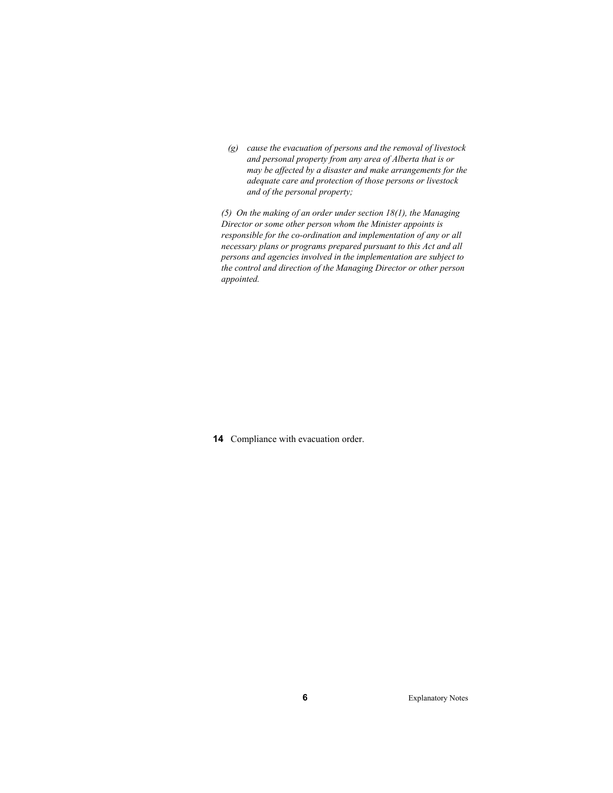*(g) cause the evacuation of persons and the removal of livestock and personal property from any area of Alberta that is or may be affected by a disaster and make arrangements for the adequate care and protection of those persons or livestock and of the personal property;* 

*(5) On the making of an order under section 18(1), the Managing Director or some other person whom the Minister appoints is responsible for the co-ordination and implementation of any or all necessary plans or programs prepared pursuant to this Act and all persons and agencies involved in the implementation are subject to the control and direction of the Managing Director or other person appointed.* 

**14** Compliance with evacuation order.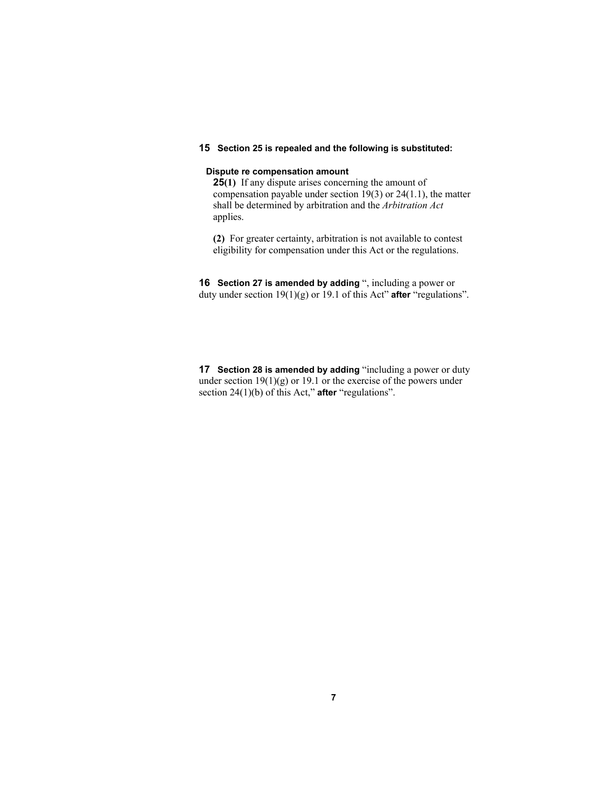#### **15 Section 25 is repealed and the following is substituted:**

## **Dispute re compensation amount**

**25(1)** If any dispute arises concerning the amount of compensation payable under section 19(3) or 24(1.1), the matter shall be determined by arbitration and the *Arbitration Act* applies.

**(2)** For greater certainty, arbitration is not available to contest eligibility for compensation under this Act or the regulations.

**16 Section 27 is amended by adding** ", including a power or duty under section 19(1)(g) or 19.1 of this Act" **after** "regulations".

**17 Section 28 is amended by adding** "including a power or duty under section 19(1)(g) or 19.1 or the exercise of the powers under section 24(1)(b) of this Act," **after** "regulations".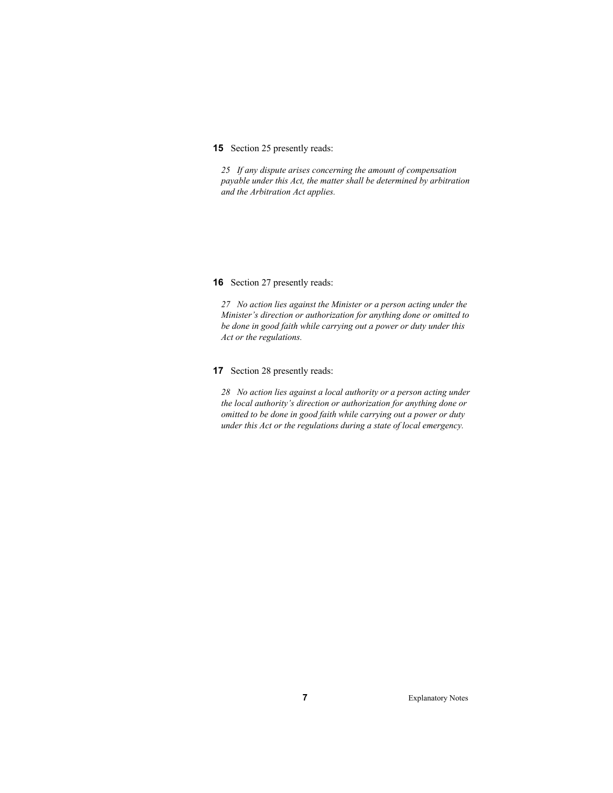## **15** Section 25 presently reads:

*25 If any dispute arises concerning the amount of compensation payable under this Act, the matter shall be determined by arbitration and the Arbitration Act applies.* 

#### **16** Section 27 presently reads:

*27 No action lies against the Minister or a person acting under the Minister's direction or authorization for anything done or omitted to be done in good faith while carrying out a power or duty under this Act or the regulations.* 

## **17** Section 28 presently reads:

*28 No action lies against a local authority or a person acting under the local authority's direction or authorization for anything done or omitted to be done in good faith while carrying out a power or duty under this Act or the regulations during a state of local emergency.*